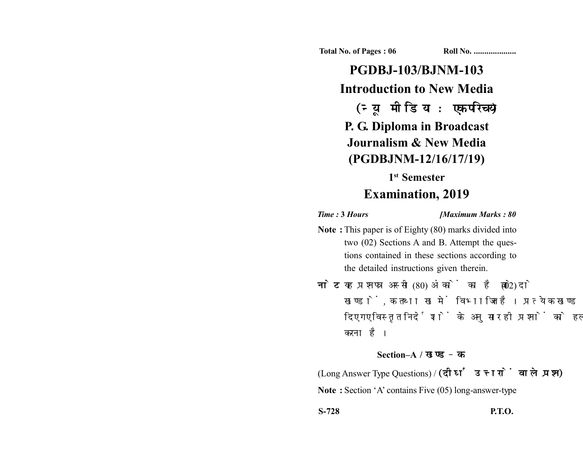**Total No. of Pages : 06 Roll No. ...................** 

**PGDBJ-103/BJNM-103 Introduction to New Media** (न्यू मीडिया : एक परिचय) **P. G. Diploma in Broadcast Journalism & New Media (PGDBJNM-12/16/17/19)**

## **1st Semester Examination, 2019**

*Time :* **3** *Hours [Maximum Marks : 80*

- **Note :** This paper is of Eighty (80) marks divided into two (02) Sections A and B. Attempt the questions contained in these sections according to the detailed instructions given therein.
- नोट: यह प्रश्नपत्र अस्सी (80) अंकों का है जो दो (02) खण्डों, क तथा ख में विभाजित है। प्रत्येक खण्ड में दिए गए विस्तृत निर्देशों के अनुसार ही प्रश्नों को हल करना है।

## **Section–A /**

(Long Answer Type Questions) / (दीर्घ उत्तरों वाले प्रश्न) **Note :** Section 'A' contains Five (05) long-answer-type

**S-728 P.T.O.**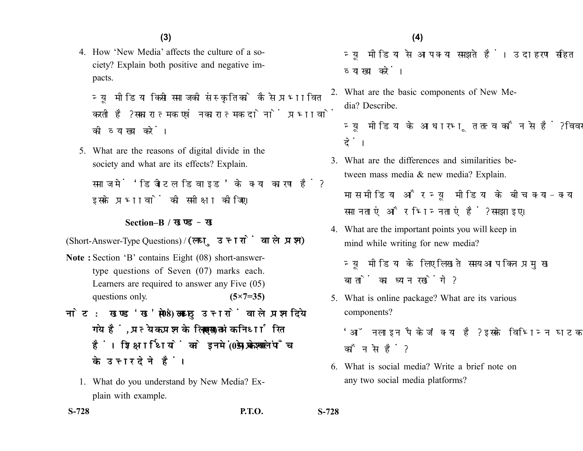4. How 'New Media' affects the culture of a society? Explain both positive and negative impacts.

न्य मीडिया किसी समाज की संस्कृति को कैसे प्रभावित करती है? सकारात्मक एवं नकारात्मक दोनों प्रभावों की व्याख्या करें।

5. What are the reasons of digital divide in the society and what are its effects? Explain.

समाज में 'डिजीटल डिवाइड' के क्या कारण हैं? इसके प्रभावों की समीक्षा कीजिए।

**Section–B /** 

(Short-Answer-Type Questions) /

- **Note :** Section 'B' contains Eight (08) short-answertype questions of Seven (07) marks each. Learners are required to answer any Five (05) questions only. **(5×7=35)**
- नोट: खण्ड 'ख' में आठ (08) लघु उत्तरों वाले प्रश्न दिये गये हैं. प्रत्येक प्रश्न के लिए सात (07) अंक निर्धारित हैं। शिक्षार्थियों को इनमें से केवल पाँच (05) प्रश्नों के उत्तर देने हैं।
	- 1. What do you understand by New Media? Explain with example.

न्यू मीडिया से आप क्या समझते हैं। उदाहरण सहित व्याख्या करें।

2. What are the basic components of New Media? Describe.

न्य मीडिया के आधारभत तत्व कौन से हैं? विवरण दें।

3. What are the differences and similarities between mass media & new media? Explain.

मास मीडिया और न्यू मीडिया के बीच क्या-क्या समानताएं और भिन्नताएं हैं? समझाइए।

4. What are the important points you will keep in mind while writing for new media?

न्यू मीडिया के लिए लिखते समय आप किन प्रमुख बातों का ध्यान रखेंगे?

5. What is online package? What are its various components?

'ऑनलाइन पैकेज' क्या है? इसके विभिन्न घटक कौन से हैं?

6. What is social media? Write a brief note on any two social media platforms?

**S-728 P.T.O. S-728**